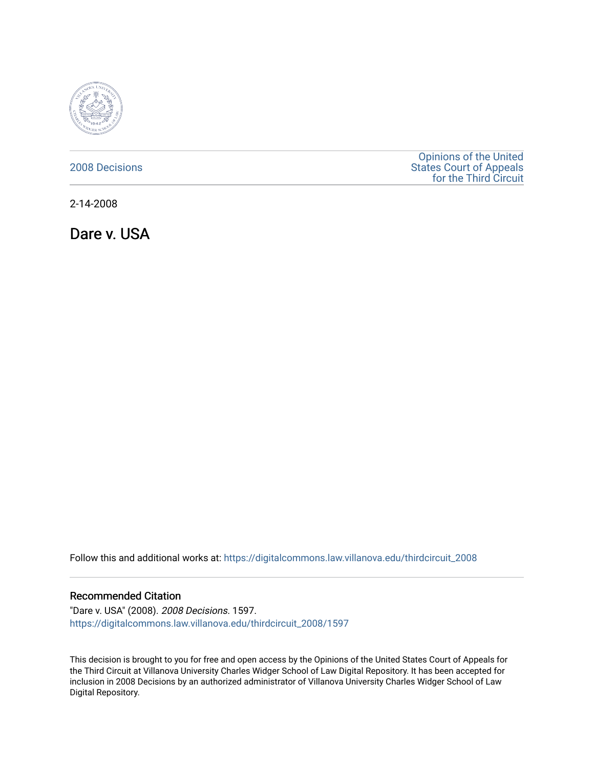

## [2008 Decisions](https://digitalcommons.law.villanova.edu/thirdcircuit_2008)

[Opinions of the United](https://digitalcommons.law.villanova.edu/thirdcircuit)  [States Court of Appeals](https://digitalcommons.law.villanova.edu/thirdcircuit)  [for the Third Circuit](https://digitalcommons.law.villanova.edu/thirdcircuit) 

2-14-2008

Dare v. USA

Follow this and additional works at: [https://digitalcommons.law.villanova.edu/thirdcircuit\\_2008](https://digitalcommons.law.villanova.edu/thirdcircuit_2008?utm_source=digitalcommons.law.villanova.edu%2Fthirdcircuit_2008%2F1597&utm_medium=PDF&utm_campaign=PDFCoverPages) 

### Recommended Citation

"Dare v. USA" (2008). 2008 Decisions. 1597. [https://digitalcommons.law.villanova.edu/thirdcircuit\\_2008/1597](https://digitalcommons.law.villanova.edu/thirdcircuit_2008/1597?utm_source=digitalcommons.law.villanova.edu%2Fthirdcircuit_2008%2F1597&utm_medium=PDF&utm_campaign=PDFCoverPages) 

This decision is brought to you for free and open access by the Opinions of the United States Court of Appeals for the Third Circuit at Villanova University Charles Widger School of Law Digital Repository. It has been accepted for inclusion in 2008 Decisions by an authorized administrator of Villanova University Charles Widger School of Law Digital Repository.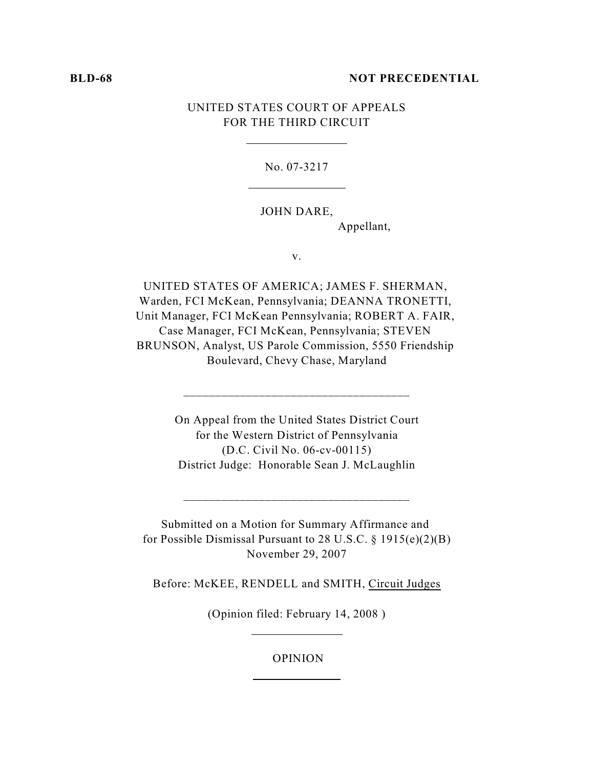#### **BLD-68 NOT PRECEDENTIAL**

# UNITED STATES COURT OF APPEALS FOR THE THIRD CIRCUIT

No. 07-3217

### JOHN DARE,

Appellant,

v.

UNITED STATES OF AMERICA; JAMES F. SHERMAN, Warden, FCI McKean, Pennsylvania; DEANNA TRONETTI, Unit Manager, FCI McKean Pennsylvania; ROBERT A. FAIR, Case Manager, FCI McKean, Pennsylvania; STEVEN BRUNSON, Analyst, US Parole Commission, 5550 Friendship Boulevard, Chevy Chase, Maryland

> On Appeal from the United States District Court for the Western District of Pennsylvania (D.C. Civil No. 06-cv-00115) District Judge: Honorable Sean J. McLaughlin

\_\_\_\_\_\_\_\_\_\_\_\_\_\_\_\_\_\_\_\_\_\_\_\_\_\_\_\_\_\_\_\_\_\_\_\_

Submitted on a Motion for Summary Affirmance and for Possible Dismissal Pursuant to 28 U.S.C. § 1915(e)(2)(B) November 29, 2007

\_\_\_\_\_\_\_\_\_\_\_\_\_\_\_\_\_\_\_\_\_\_\_\_\_\_\_\_\_\_\_\_\_\_\_\_

Before: McKEE, RENDELL and SMITH, Circuit Judges

(Opinion filed: February 14, 2008 )

### OPINION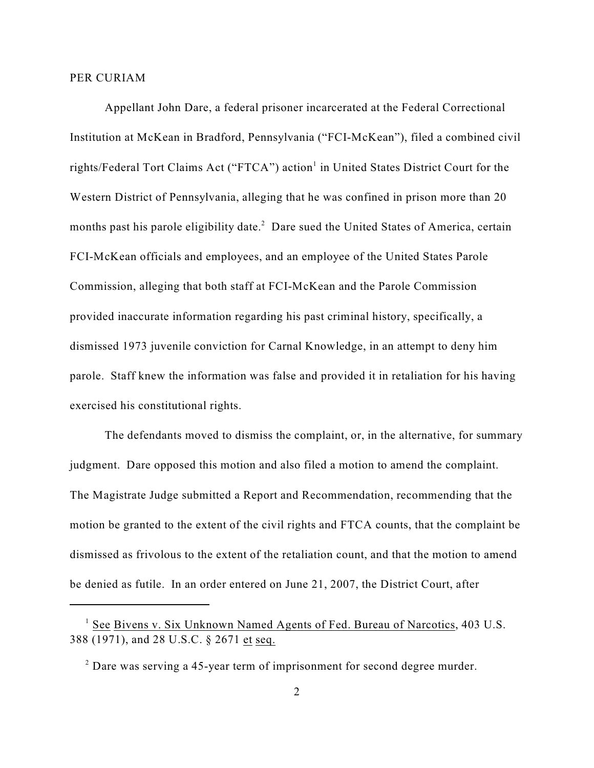### PER CURIAM

Appellant John Dare, a federal prisoner incarcerated at the Federal Correctional Institution at McKean in Bradford, Pennsylvania ("FCI-McKean"), filed a combined civil rights/Federal Tort Claims Act ("FTCA") action<sup>1</sup> in United States District Court for the Western District of Pennsylvania, alleging that he was confined in prison more than 20 months past his parole eligibility date.<sup>2</sup> Dare sued the United States of America, certain FCI-McKean officials and employees, and an employee of the United States Parole Commission, alleging that both staff at FCI-McKean and the Parole Commission provided inaccurate information regarding his past criminal history, specifically, a dismissed 1973 juvenile conviction for Carnal Knowledge, in an attempt to deny him parole. Staff knew the information was false and provided it in retaliation for his having exercised his constitutional rights.

The defendants moved to dismiss the complaint, or, in the alternative, for summary judgment. Dare opposed this motion and also filed a motion to amend the complaint. The Magistrate Judge submitted a Report and Recommendation, recommending that the motion be granted to the extent of the civil rights and FTCA counts, that the complaint be dismissed as frivolous to the extent of the retaliation count, and that the motion to amend be denied as futile. In an order entered on June 21, 2007, the District Court, after

 $<sup>1</sup>$  See Bivens v. Six Unknown Named Agents of Fed. Bureau of Narcotics, 403 U.S.</sup> 388 (1971), and 28 U.S.C. § 2671 et seq.

 $2$  Dare was serving a 45-year term of imprisonment for second degree murder.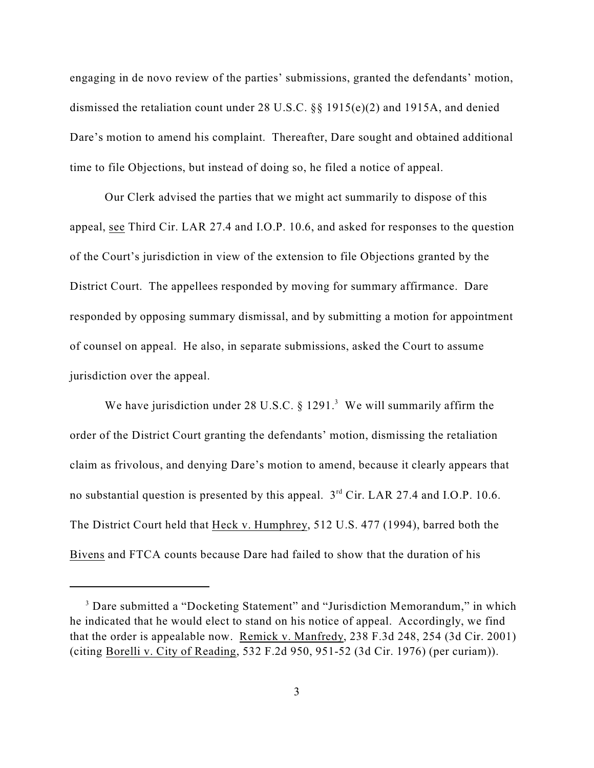engaging in de novo review of the parties' submissions, granted the defendants' motion, dismissed the retaliation count under 28 U.S.C. §§ 1915(e)(2) and 1915A, and denied Dare's motion to amend his complaint. Thereafter, Dare sought and obtained additional time to file Objections, but instead of doing so, he filed a notice of appeal.

Our Clerk advised the parties that we might act summarily to dispose of this appeal, see Third Cir. LAR 27.4 and I.O.P. 10.6, and asked for responses to the question of the Court's jurisdiction in view of the extension to file Objections granted by the District Court. The appellees responded by moving for summary affirmance. Dare responded by opposing summary dismissal, and by submitting a motion for appointment of counsel on appeal. He also, in separate submissions, asked the Court to assume jurisdiction over the appeal.

We have jurisdiction under 28 U.S.C.  $\S$  1291.<sup>3</sup> We will summarily affirm the order of the District Court granting the defendants' motion, dismissing the retaliation claim as frivolous, and denying Dare's motion to amend, because it clearly appears that no substantial question is presented by this appeal.  $3<sup>rd</sup>$  Cir. LAR 27.4 and I.O.P. 10.6. The District Court held that Heck v. Humphrey, 512 U.S. 477 (1994), barred both the Bivens and FTCA counts because Dare had failed to show that the duration of his

<sup>&</sup>lt;sup>3</sup> Dare submitted a "Docketing Statement" and "Jurisdiction Memorandum," in which he indicated that he would elect to stand on his notice of appeal. Accordingly, we find that the order is appealable now. Remick v. Manfredy, 238 F.3d 248, 254 (3d Cir. 2001) (citing Borelli v. City of Reading, 532 F.2d 950, 951-52 (3d Cir. 1976) (per curiam)).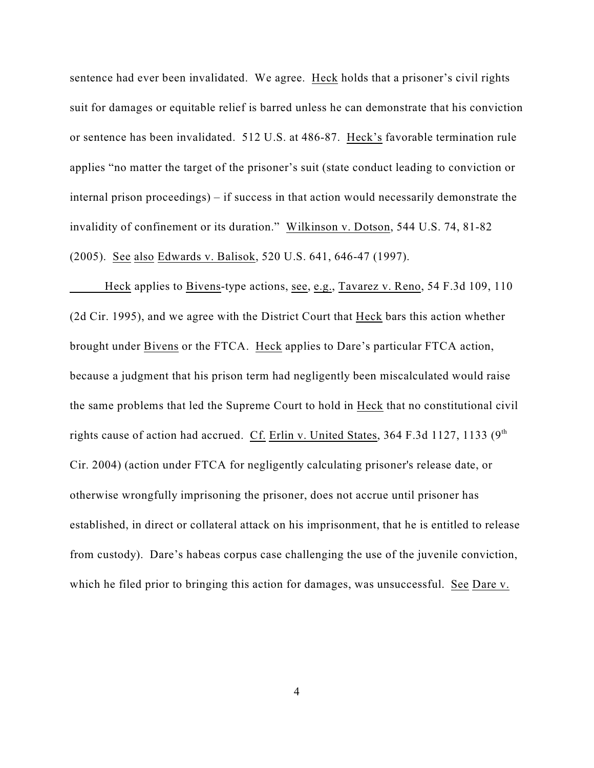sentence had ever been invalidated. We agree. Heck holds that a prisoner's civil rights suit for damages or equitable relief is barred unless he can demonstrate that his conviction or sentence has been invalidated. 512 U.S. at 486-87. Heck's favorable termination rule applies "no matter the target of the prisoner's suit (state conduct leading to conviction or internal prison proceedings) – if success in that action would necessarily demonstrate the invalidity of confinement or its duration." Wilkinson v. Dotson, 544 U.S. 74, 81-82 (2005). See also Edwards v. Balisok, 520 U.S. 641, 646-47 (1997).

Heck applies to Bivens-type actions, see, e.g., Tavarez v. Reno, 54 F.3d 109, 110 (2d Cir. 1995), and we agree with the District Court that Heck bars this action whether brought under Bivens or the FTCA. Heck applies to Dare's particular FTCA action, because a judgment that his prison term had negligently been miscalculated would raise the same problems that led the Supreme Court to hold in Heck that no constitutional civil rights cause of action had accrued. Cf. Erlin v. United States, 364 F.3d 1127, 1133 ( $9<sup>th</sup>$ Cir. 2004) (action under FTCA for negligently calculating prisoner's release date, or otherwise wrongfully imprisoning the prisoner, does not accrue until prisoner has established, in direct or collateral attack on his imprisonment, that he is entitled to release from custody). Dare's habeas corpus case challenging the use of the juvenile conviction, which he filed prior to bringing this action for damages, was unsuccessful. See Dare v.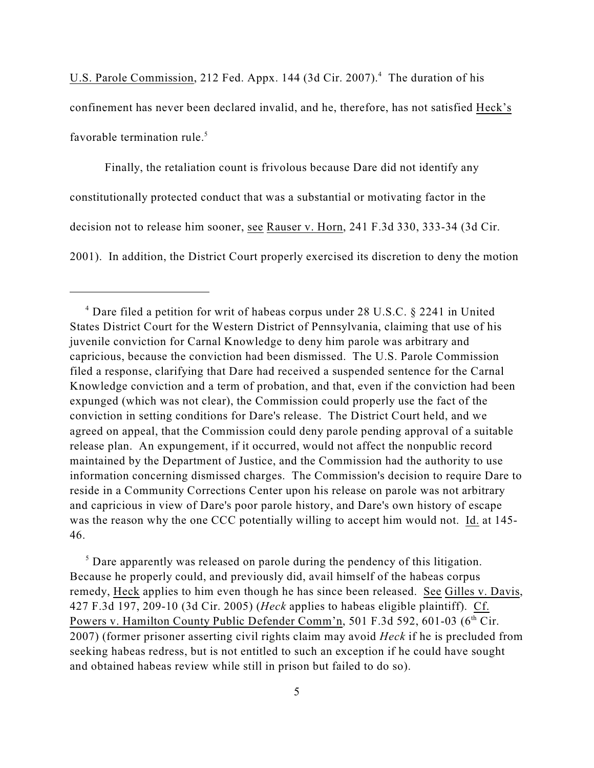U.S. Parole Commission, 212 Fed. Appx. 144 (3d Cir. 2007). $4$  The duration of his confinement has never been declared invalid, and he, therefore, has not satisfied Heck's favorable termination rule.<sup>5</sup>

Finally, the retaliation count is frivolous because Dare did not identify any constitutionally protected conduct that was a substantial or motivating factor in the decision not to release him sooner, see Rauser v. Horn, 241 F.3d 330, 333-34 (3d Cir. 2001). In addition, the District Court properly exercised its discretion to deny the motion

<sup>5</sup> Dare apparently was released on parole during the pendency of this litigation. Because he properly could, and previously did, avail himself of the habeas corpus remedy, Heck applies to him even though he has since been released. See Gilles v. Davis, 427 F.3d 197, 209-10 (3d Cir. 2005) (*Heck* applies to habeas eligible plaintiff). Cf. Powers v. Hamilton County Public Defender Comm'n, 501 F.3d 592, 601-03 (6<sup>th</sup> Cir. 2007) (former prisoner asserting civil rights claim may avoid *Heck* if he is precluded from seeking habeas redress, but is not entitled to such an exception if he could have sought and obtained habeas review while still in prison but failed to do so).

<sup>&</sup>lt;sup>4</sup> Dare filed a petition for writ of habeas corpus under 28 U.S.C. § 2241 in United States District Court for the Western District of Pennsylvania, claiming that use of his juvenile conviction for Carnal Knowledge to deny him parole was arbitrary and capricious, because the conviction had been dismissed. The U.S. Parole Commission filed a response, clarifying that Dare had received a suspended sentence for the Carnal Knowledge conviction and a term of probation, and that, even if the conviction had been expunged (which was not clear), the Commission could properly use the fact of the conviction in setting conditions for Dare's release. The District Court held, and we agreed on appeal, that the Commission could deny parole pending approval of a suitable release plan. An expungement, if it occurred, would not affect the nonpublic record maintained by the Department of Justice, and the Commission had the authority to use information concerning dismissed charges. The Commission's decision to require Dare to reside in a Community Corrections Center upon his release on parole was not arbitrary and capricious in view of Dare's poor parole history, and Dare's own history of escape was the reason why the one CCC potentially willing to accept him would not. Id. at 145- 46.